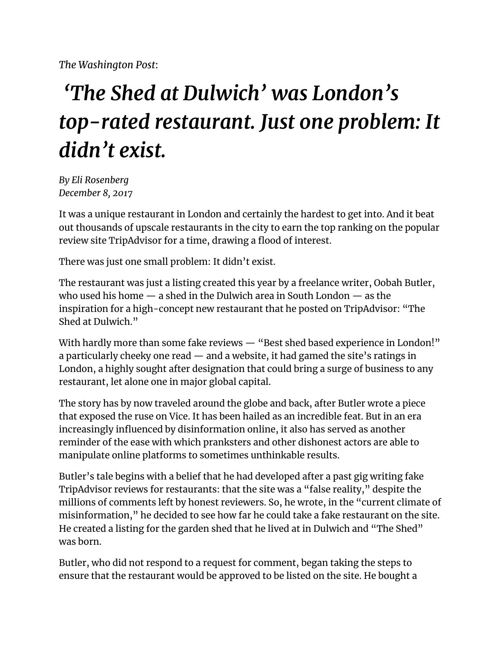*The Washington Post*:

## *'The Shed at Dulwich' was London's top-rated restaurant. Just one problem: It didn't exist.*

*By Eli Rosenberg December 8, 2017*

It was a unique restaurant in London and certainly the hardest to get into. And it beat out thousands of upscale restaurants in the city to earn the top ranking on the popular review site TripAdvisor for a time, drawing a flood of interest.

There was just one small problem: It didn't exist.

The restaurant was just a listing created this year by a freelance writer, Oobah Butler, who used his home — a shed in the Dulwich area in South London — as the inspiration for a high-concept new restaurant that he posted on TripAdvisor: "The Shed at Dulwich."

With hardly more than some fake reviews  $-$  "Best shed based experience in London!" a particularly cheeky one read — and a website, it had gamed the site's ratings in London, a highly sought after designation that could bring a surge of business to any restaurant, let alone one in major global capital.

The story has by now traveled around the globe and back, after Butler wrote a piece that exposed the ruse on Vice. It has been hailed as an incredible feat. But in an era increasingly influenced by disinformation online, it also has served as another reminder of the ease with which pranksters and other dishonest actors are able to manipulate online platforms to sometimes unthinkable results.

Butler's tale begins with a belief that he had developed after a past gig writing fake TripAdvisor reviews for restaurants: that the site was a "false reality," despite the millions of comments left by honest reviewers. So, he wrote, in the "current climate of misinformation," he decided to see how far he could take a fake restaurant on the site. He created a listing for the garden shed that he lived at in Dulwich and "The Shed" was born.

Butler, who did not respond to a request for comment, began taking the steps to ensure that the restaurant would be approved to be listed on the site. He bought a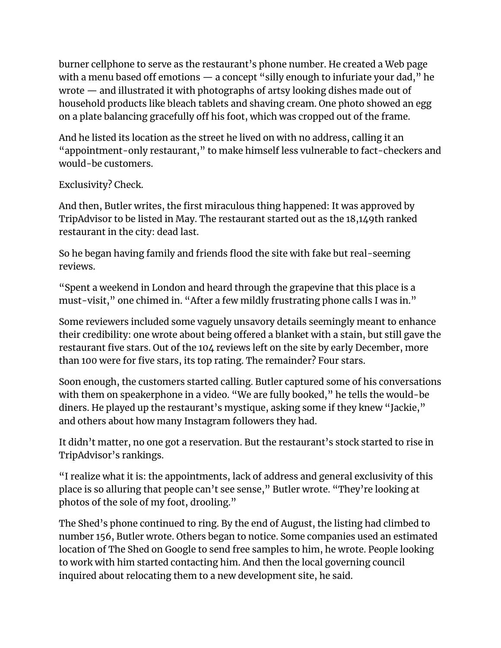burner cellphone to serve as the restaurant's phone number. He created a Web page with a menu based off emotions — a concept "silly enough to infuriate your dad," he wrote — and illustrated it with photographs of artsy looking dishes made out of household products like bleach tablets and shaving cream. One photo showed an egg on a plate balancing gracefully off his foot, which was cropped out of the frame.

And he listed its location as the street he lived on with no address, calling it an "appointment-only restaurant," to make himself less vulnerable to fact-checkers and would-be customers.

## Exclusivity? Check.

And then, Butler writes, the first miraculous thing happened: It was approved by TripAdvisor to be listed in May. The restaurant started out as the 18,149th ranked restaurant in the city: dead last.

So he began having family and friends flood the site with fake but real-seeming reviews.

"Spent a weekend in London and heard through the grapevine that this place is a must-visit," one chimed in. "After a few mildly frustrating phone calls I was in."

Some reviewers included some vaguely unsavory details seemingly meant to enhance their credibility: one wrote about being offered a blanket with a stain, but still gave the restaurant five stars. Out of the 104 reviews left on the site by early December, more than 100 were for five stars, its top rating. The remainder? Four stars.

Soon enough, the customers started calling. Butler captured some of his conversations with them on speakerphone in a video. "We are fully booked," he tells the would-be diners. He played up the restaurant's mystique, asking some if they knew "Jackie," and others about how many Instagram followers they had.

It didn't matter, no one got a reservation. But the restaurant's stock started to rise in TripAdvisor's rankings.

"I realize what it is: the appointments, lack of address and general exclusivity of this place is so alluring that people can't see sense," Butler wrote. "They're looking at photos of the sole of my foot, drooling."

The Shed's phone continued to ring. By the end of August, the listing had climbed to number 156, Butler wrote. Others began to notice. Some companies used an estimated location of The Shed on Google to send free samples to him, he wrote. People looking to work with him started contacting him. And then the local governing council inquired about relocating them to a new development site, he said.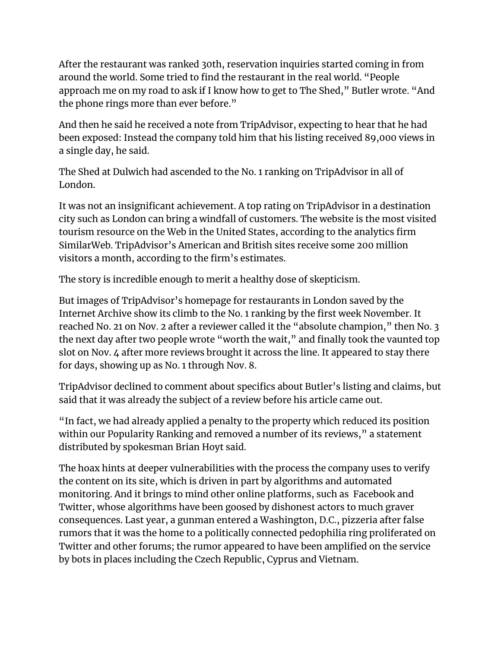After the restaurant was ranked 30th, reservation inquiries started coming in from around the world. Some tried to find the restaurant in the real world. "People approach me on my road to ask if I know how to get to The Shed," Butler wrote. "And the phone rings more than ever before."

And then he said he received a note from TripAdvisor, expecting to hear that he had been exposed: Instead the company told him that his listing received 89,000 views in a single day, he said.

The Shed at Dulwich had ascended to the No. 1 ranking on TripAdvisor in all of London.

It was not an insignificant achievement. A top rating on TripAdvisor in a destination city such as London can bring a windfall of customers. The website is the most visited tourism resource on the Web in the United States, according to the analytics firm SimilarWeb. TripAdvisor's American and British sites receive some 200 million visitors a month, according to the firm's estimates.

The story is incredible enough to merit a healthy dose of skepticism.

But images of TripAdvisor's homepage for restaurants in London saved by the Internet Archive show its climb to the No. 1 ranking by the first week November. It reached No. 21 on Nov. 2 after a reviewer called it the "absolute champion," then No. 3 the next day after two people wrote "worth the wait," and finally took the vaunted top slot on Nov. 4 after more reviews brought it across the line. It appeared to stay there for days, showing up as No. 1 through Nov. 8.

TripAdvisor declined to comment about specifics about Butler's listing and claims, but said that it was already the subject of a review before his article came out.

"In fact, we had already applied a penalty to the property which reduced its position within our Popularity Ranking and removed a number of its reviews," a statement distributed by spokesman Brian Hoyt said.

The hoax hints at deeper vulnerabilities with the process the company uses to verify the content on its site, which is driven in part by algorithms and automated monitoring. And it brings to mind other online platforms, such as Facebook and Twitter, whose algorithms have been goosed by dishonest actors to much graver consequences. Last year, a gunman entered a Washington, D.C., pizzeria after false rumors that it was the home to a politically connected pedophilia ring proliferated on Twitter and other forums; the rumor appeared to have been amplified on the service by bots in places including the Czech Republic, Cyprus and Vietnam.